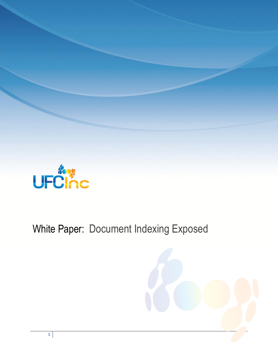

# White Paper: Document Indexing Exposed

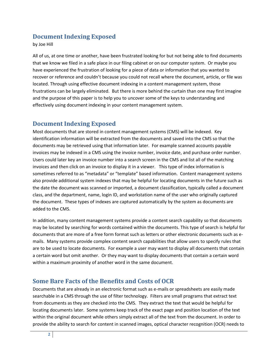# **Document Indexing Exposed**

by Joe Hill

All of us, at one time or another, have been frustrated looking for but not being able to find documents that we know we filed in a safe place in our filing cabinet or on our computer system. Or maybe you have experienced the frustration of looking for a piece of data or information that you wanted to recover or reference and couldn't because you could not recall where the document, article, or file was located. Through using effective document indexing in a content management system, those frustrations can be largely eliminated. But there is more behind the curtain than one may first imagine and the purpose of this paper is to help you to uncover some of the keys to understanding and effectively using document indexing in your content management system.

# **Document Indexing Exposed**

Most documents that are stored in content management systems (CMS) will be indexed. Key identification information will be extracted from the documents and saved into the CMS so that the documents may be retrieved using that information later. For example scanned accounts payable invoices may be indexed in a CMS using the invoice number, invoice date, and purchase order number. Users could later key an invoice number into a search screen in the CMS and list all of the matching invoices and then click on an invoice to display it in a viewer. This type of index information is sometimes referred to as "metadata" or "template" based information. Content management systems also provide additional system indexes that may be helpful for locating documents in the future such as the date the document was scanned or imported, a document classification, typically called a document class, and the department, name, login ID, and workstation name of the user who originally captured the document. These types of indexes are captured automatically by the system as documents are added to the CMS.

In addition, many content management systems provide a content search capability so that documents may be located by searching for words contained within the documents. This type of search is helpful for documents that are more of a free form format such as letters or other electronic documents such as emails. Many systems provide complex content search capabilities that allow users to specify rules that are to be used to locate documents. For example a user may want to display all documents that contain a certain word but omit another. Or they may want to display documents that contain a certain word within a maximum proximity of another word in the same document.

### **Some Bare Facts of the Benefits and Costs of OCR**

Documents that are already in an electronic format such as e-mails or spreadsheets are easily made searchable in a CMS through the use of filter technology. Filters are small programs that extract text from documents as they are checked into the CMS. They extract the text that would be helpful for locating documents later. Some systems keep track of the exact page and position location of the text within the original document while others simply extract all of the text from the document. In order to provide the ability to search for content in scanned images, optical character recognition (OCR) needs to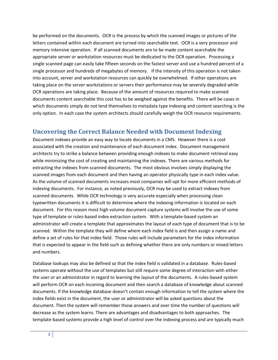be performed on the documents. OCR is the process by which the scanned images or pictures of the letters contained within each document are turned into searchable text. OCR is a very processor and memory intensive operation. If all scanned documents are to be made content searchable the appropriate server or workstation resources must be dedicated to the OCR operation. Processing a single scanned page can easily take fifteen seconds on the fastest server and use a hundred percent of a single processor and hundreds of megabytes of memory. If the intensity of this operation is not taken into account, server and workstation resources can quickly be overwhelmed. If other operations are taking place on the server workstations or servers their performance may be severely degraded while OCR operations are taking place. Because of the amount of resources required to make scanned documents content searchable this cost has to be weighed against the benefits. There will be cases in which documents simply do not lend themselves to metadata type indexing and content searching is the only option. In each case the system architects should carefully weigh the OCR resource requirements.

# **Uncovering the Correct Balance Needed with Document Indexing**

Document indexes provide an easy way to locate documents in a CMS. However there is a cost associated with the creation and maintenance of each document index. Document management architects try to strike a balance between providing enough indexes to make document retrieval easy while minimizing the cost of creating and maintaining the indexes. There are various methods for extracting the indexes from scanned documents. The most obvious involves simply displaying the scanned images from each document and then having an operator physically type in each index value. As the volume of scanned documents increases most companies will opt for more efficient methods of indexing documents. For instance, as noted previously, OCR may be used to extract indexes from scanned documents. While OCR technology is very accurate especially when processing clean typewritten documents it is difficult to determine where the indexing information is located on each document. For this reason most high volume document capture systems will involve the use of some type of template or rules-based index extraction system. With a template-based system an administrator will create a template that approximates the layout of each type of document that is to be scanned. Within the template they will define where each index field is and then assign a name and define a set of rules for that index field. Those rules will include parameters for the index information that is expected to appear in the field such as defining whether there are only numbers or mixed letters and numbers.

Database lookups may also be defined so that the index field is validated in a database. Rules-based systems operate without the use of templates but still require some degree of interaction with either the user or an administrator in regard to learning the layout of the documents. A rules-based system will perform OCR on each incoming document and then search a database of knowledge about scanned documents. If the knowledge database doesn't contain enough information to tell the system where the index fields exist in the document, the user or administrator will be asked questions about the document. Then the system will remember those answers and over time the number of questions will decrease as the system learns. There are advantages and disadvantages to both approaches. The template-based systems provide a high level of control over the indexing process and are typically much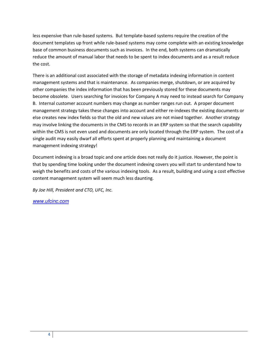less expensive than rule-based systems. But template-based systems require the creation of the document templates up front while rule-based systems may come complete with an existing knowledge base of common business documents such as invoices. In the end, both systems can dramatically reduce the amount of manual labor that needs to be spent to index documents and as a result reduce the cost.

There is an additional cost associated with the storage of metadata indexing information in content management systems and that is maintenance. As companies merge, shutdown, or are acquired by other companies the index information that has been previously stored for these documents may become obsolete. Users searching for invoices for Company A may need to instead search for Company B. Internal customer account numbers may change as number ranges run out. A proper document management strategy takes these changes into account and either re-indexes the existing documents or else creates new index fields so that the old and new values are not mixed together. Another strategy may involve linking the documents in the CMS to records in an ERP system so that the search capability within the CMS is not even used and documents are only located through the ERP system. The cost of a single audit may easily dwarf all efforts spent at properly planning and maintaining a document management indexing strategy!

Document indexing is a broad topic and one article does not really do it justice. However, the point is that by spending time looking under the document indexing covers you will start to understand how to weigh the benefits and costs of the various indexing tools. As a result, building and using a cost effective content management system will seem much less daunting.

*By Joe Hill, President and CTO, UFC, Inc.* 

*[www.ufcinc.com](http://www.ufcinc.com/)*